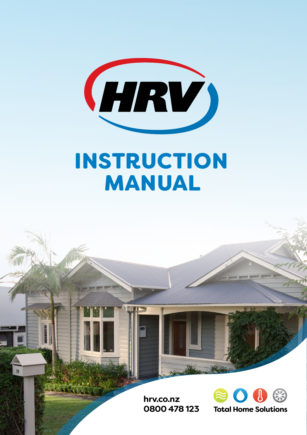

# INSTRUCTION MANUAL

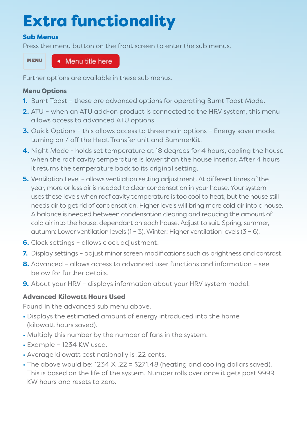# Extra functionality

# Sub Menus

Press the menu button on the front screen to enter the sub menus.

MENU

◆ Menu title here

Further options are available in these sub menus.

# Menu Options

- **1.** Burnt Toast these are advanced options for operating Burnt Toast Mode.
- **2.** ATU when an ATU add-on product is connected to the HRV system, this menu allows access to advanced ATU options.
- **3.** Quick Options this allows access to three main options Energy saver mode, turning on / off the Heat Transfer unit and SummerKit.
- **4.** Night Mode holds set temperature at 18 degrees for 4 hours, cooling the house when the roof cavity temperature is lower than the house interior. After 4 hours it returns the temperature back to its original setting.
- **5.** Ventilation Level allows ventilation setting adjustment. At different times of the year, more or less air is needed to clear condensation in your house. Your system uses these levels when roof cavity temperature is too cool to heat, but the house still needs air to get rid of condensation. Higher levels will bring more cold air into a house. A balance is needed between condensation clearing and reducing the amount of cold air into the house, dependant on each house. Adjust to suit. Spring, summer, autumn: Lower ventilation levels  $(1 – 3)$ . Winter: Higher ventilation levels  $(3 – 6)$ .
- **6.** Clock settings allows clock adjustment.
- **7.** Display settings adjust minor screen modifications such as brightness and contrast.
- **8.** Advanced allows access to advanced user functions and information see below for further details.
- **9.** About your HRV displays information about your HRV system model.

# Advanced Kilowatt Hours Used

Found in the advanced sub menu above.

- Displays the estimated amount of energy introduced into the home (kilowatt hours saved).
- Multiply this number by the number of fans in the system.
- Example 1234 KW used.
- Average kilowatt cost nationally is .22 cents.
- The above would be: 1234 X .22 = \$271.48 (heating and cooling dollars saved). This is based on the life of the system. Number rolls over once it gets past 9999 KW hours and resets to zero.